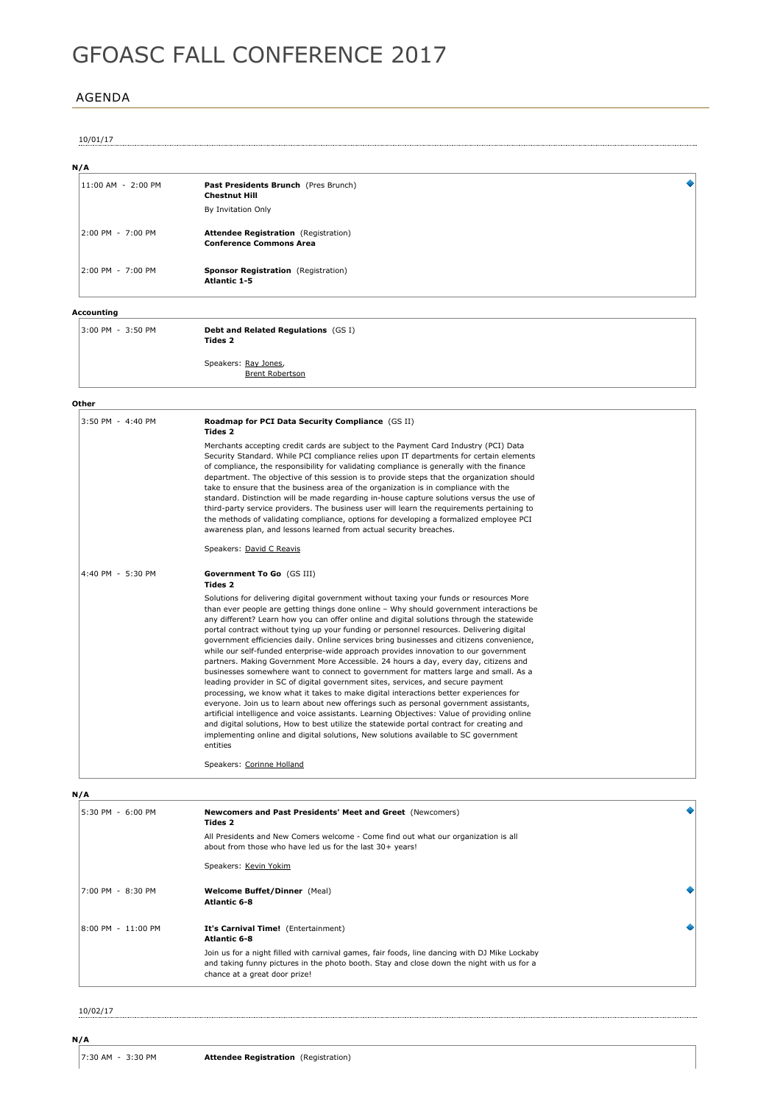# GFOASC FALL CONFERENCE 2017

# AGENDA

#### 10/01/17

# **N/A**

|  | 11:00 AM - 2:00 PM | Past Presidents Brunch (Pres Brunch)<br><b>Chestnut Hill</b>                  |  |
|--|--------------------|-------------------------------------------------------------------------------|--|
|  |                    | By Invitation Only                                                            |  |
|  | 2:00 PM - 7:00 PM  | <b>Attendee Registration</b> (Registration)<br><b>Conference Commons Area</b> |  |
|  | 2:00 PM - 7:00 PM  | Sponsor Registration (Registration)<br><b>Atlantic 1-5</b>                    |  |

# **Accounting**

| 3:00 PM - 3:50 PM | <b>Debt and Related Regulations (GS I)</b><br><b>Tides 2</b> |
|-------------------|--------------------------------------------------------------|
|                   |                                                              |

Speakers: Ray Jones, Brent Robertson

#### **Other**

| 3:50 PM - 4:40 PM | Roadmap for PCI Data Security Compliance (GS II)<br><b>Tides 2</b><br>Merchants accepting credit cards are subject to the Payment Card Industry (PCI) Data<br>Security Standard. While PCI compliance relies upon IT departments for certain elements<br>of compliance, the responsibility for validating compliance is generally with the finance<br>department. The objective of this session is to provide steps that the organization should<br>take to ensure that the business area of the organization is in compliance with the<br>standard. Distinction will be made regarding in-house capture solutions versus the use of<br>third-party service providers. The business user will learn the requirements pertaining to<br>the methods of validating compliance, options for developing a formalized employee PCI<br>awareness plan, and lessons learned from actual security breaches.                                                                                                                                                                                                                                                                                                                                                                                                                                                                                                                              |
|-------------------|---------------------------------------------------------------------------------------------------------------------------------------------------------------------------------------------------------------------------------------------------------------------------------------------------------------------------------------------------------------------------------------------------------------------------------------------------------------------------------------------------------------------------------------------------------------------------------------------------------------------------------------------------------------------------------------------------------------------------------------------------------------------------------------------------------------------------------------------------------------------------------------------------------------------------------------------------------------------------------------------------------------------------------------------------------------------------------------------------------------------------------------------------------------------------------------------------------------------------------------------------------------------------------------------------------------------------------------------------------------------------------------------------------------------------------|
| 4:40 PM - 5:30 PM | Speakers: David C Reavis<br>Government To Go (GS III)<br><b>Tides 2</b><br>Solutions for delivering digital government without taxing your funds or resources More<br>than ever people are getting things done online - Why should government interactions be<br>any different? Learn how you can offer online and digital solutions through the statewide<br>portal contract without tying up your funding or personnel resources. Delivering digital<br>government efficiencies daily. Online services bring businesses and citizens convenience,<br>while our self-funded enterprise-wide approach provides innovation to our government<br>partners. Making Government More Accessible. 24 hours a day, every day, citizens and<br>businesses somewhere want to connect to government for matters large and small. As a<br>leading provider in SC of digital government sites, services, and secure payment<br>processing, we know what it takes to make digital interactions better experiences for<br>everyone. Join us to learn about new offerings such as personal government assistants,<br>artificial intelligence and voice assistants. Learning Objectives: Value of providing online<br>and digital solutions, How to best utilize the statewide portal contract for creating and<br>implementing online and digital solutions, New solutions available to SC government<br>entities<br>Speakers: Corinne Holland |

## **N/A**

| 5:30 PM - 6:00 PM    | Newcomers and Past Presidents' Meet and Greet (Newcomers)<br><b>Tides 2</b>                                                                                                                                                 |  |
|----------------------|-----------------------------------------------------------------------------------------------------------------------------------------------------------------------------------------------------------------------------|--|
|                      | All Presidents and New Comers welcome - Come find out what our organization is all<br>about from those who have led us for the last 30+ years!                                                                              |  |
|                      | Speakers: Kevin Yokim                                                                                                                                                                                                       |  |
| $7:00$ PM $-8:30$ PM | <b>Welcome Buffet/Dinner</b> (Meal)<br><b>Atlantic 6-8</b>                                                                                                                                                                  |  |
| 8:00 PM - 11:00 PM   | It's Carnival Time! (Entertainment)<br><b>Atlantic 6-8</b>                                                                                                                                                                  |  |
|                      | Join us for a night filled with carnival games, fair foods, line dancing with DJ Mike Lockaby<br>and taking funny pictures in the photo booth. Stay and close down the night with us for a<br>chance at a great door prize! |  |

10/02/17

**N/A**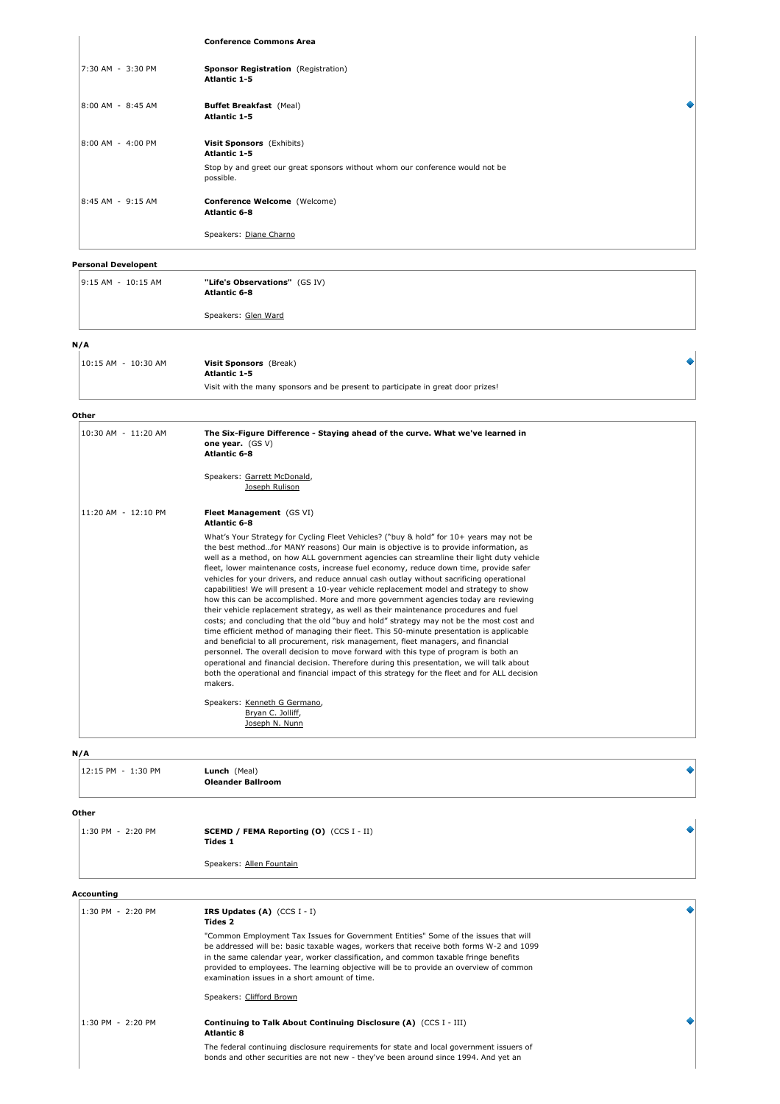#### **Conference Commons Area**

| 7:30 AM - 3:30 PM | Sponsor Registration (Registration)<br><b>Atlantic 1-5</b>                                 |
|-------------------|--------------------------------------------------------------------------------------------|
| 8:00 AM - 8:45 AM | <b>Buffet Breakfast (Meal)</b><br><b>Atlantic 1-5</b>                                      |
| 8:00 AM - 4:00 PM | Visit Sponsors (Exhibits)<br><b>Atlantic 1-5</b>                                           |
|                   | Stop by and greet our great sponsors without whom our conference would not be<br>possible. |
| 8:45 AM - 9:15 AM | Conference Welcome (Welcome)<br><b>Atlantic 6-8</b>                                        |
|                   | Speakers: Diane Charno                                                                     |

٠

# **Personal Developent**

| $9:15$ AM - $10:15$ AM | "Life's Observations" (GS IV)<br><b>Atlantic 6-8</b> |
|------------------------|------------------------------------------------------|
|                        | Speakers: Glen Ward                                  |
| N/A                    |                                                      |

| 10:15 AM - 10:30 AM | Visit Sponsors (Break)<br><b>Atlantic 1-5</b>                                    |  |
|---------------------|----------------------------------------------------------------------------------|--|
|                     | Visit with the many sponsors and be present to participate in great door prizes! |  |

#### **Other**

| 10:30 AM - 11:20 AM | The Six-Figure Difference - Staying ahead of the curve. What we've learned in<br>one year. $(GS V)$<br><b>Atlantic 6-8</b>                                                                                                                                                                                                                                                                                                                                                                                                                                                                                                                                                                                                                                                                                                                                                                                                                                                                                                                                                                                                                                                                                                                                                                                                                                                                      |
|---------------------|-------------------------------------------------------------------------------------------------------------------------------------------------------------------------------------------------------------------------------------------------------------------------------------------------------------------------------------------------------------------------------------------------------------------------------------------------------------------------------------------------------------------------------------------------------------------------------------------------------------------------------------------------------------------------------------------------------------------------------------------------------------------------------------------------------------------------------------------------------------------------------------------------------------------------------------------------------------------------------------------------------------------------------------------------------------------------------------------------------------------------------------------------------------------------------------------------------------------------------------------------------------------------------------------------------------------------------------------------------------------------------------------------|
|                     | Speakers: Garrett McDonald,<br>Joseph Rulison                                                                                                                                                                                                                                                                                                                                                                                                                                                                                                                                                                                                                                                                                                                                                                                                                                                                                                                                                                                                                                                                                                                                                                                                                                                                                                                                                   |
| 11:20 AM - 12:10 PM | Fleet Management (GS VI)<br><b>Atlantic 6-8</b>                                                                                                                                                                                                                                                                                                                                                                                                                                                                                                                                                                                                                                                                                                                                                                                                                                                                                                                                                                                                                                                                                                                                                                                                                                                                                                                                                 |
|                     | What's Your Strategy for Cycling Fleet Vehicles? ("buy & hold" for 10+ years may not be<br>the best methodfor MANY reasons) Our main is objective is to provide information, as<br>well as a method, on how ALL government agencies can streamline their light duty vehicle<br>fleet, lower maintenance costs, increase fuel economy, reduce down time, provide safer<br>vehicles for your drivers, and reduce annual cash outlay without sacrificing operational<br>capabilities! We will present a 10-year vehicle replacement model and strategy to show<br>how this can be accomplished. More and more government agencies today are reviewing<br>their vehicle replacement strategy, as well as their maintenance procedures and fuel<br>costs; and concluding that the old "buy and hold" strategy may not be the most cost and<br>time efficient method of managing their fleet. This 50-minute presentation is applicable<br>and beneficial to all procurement, risk management, fleet managers, and financial<br>personnel. The overall decision to move forward with this type of program is both an<br>operational and financial decision. Therefore during this presentation, we will talk about<br>both the operational and financial impact of this strategy for the fleet and for ALL decision<br>makers.<br>Speakers: Kenneth G Germano,<br>Bryan C. Jolliff,<br>Joseph N. Nunn |

#### **N/A**

| 12:15 PM - 1:30 PM   | Lunch (Meal)<br><b>Oleander Ballroom</b>                                                                                                                                                                                                                                                                                                                                                                          |  |
|----------------------|-------------------------------------------------------------------------------------------------------------------------------------------------------------------------------------------------------------------------------------------------------------------------------------------------------------------------------------------------------------------------------------------------------------------|--|
| Other                |                                                                                                                                                                                                                                                                                                                                                                                                                   |  |
| $1:30$ PM $-2:20$ PM | <b>SCEMD / FEMA Reporting (O)</b> (CCS I - II)<br><b>Tides 1</b>                                                                                                                                                                                                                                                                                                                                                  |  |
|                      | Speakers: Allen Fountain                                                                                                                                                                                                                                                                                                                                                                                          |  |
| Accounting           |                                                                                                                                                                                                                                                                                                                                                                                                                   |  |
| 1:30 PM - 2:20 PM    | IRS Updates $(A)$ (CCS I - I)<br>Tides 2                                                                                                                                                                                                                                                                                                                                                                          |  |
|                      | "Common Employment Tax Issues for Government Entities" Some of the issues that will<br>be addressed will be: basic taxable wages, workers that receive both forms W-2 and 1099<br>in the same calendar year, worker classification, and common taxable fringe benefits<br>provided to employees. The learning objective will be to provide an overview of common<br>examination issues in a short amount of time. |  |
|                      | Speakers: Clifford Brown                                                                                                                                                                                                                                                                                                                                                                                          |  |
| $1:30$ PM $-2:20$ PM | Continuing to Talk About Continuing Disclosure (A) (CCS I - III)<br><b>Atlantic 8</b>                                                                                                                                                                                                                                                                                                                             |  |

The federal continuing disclosure requirements for state and local government issuers of bonds and other securities are not new they've been around since 1994. And yet an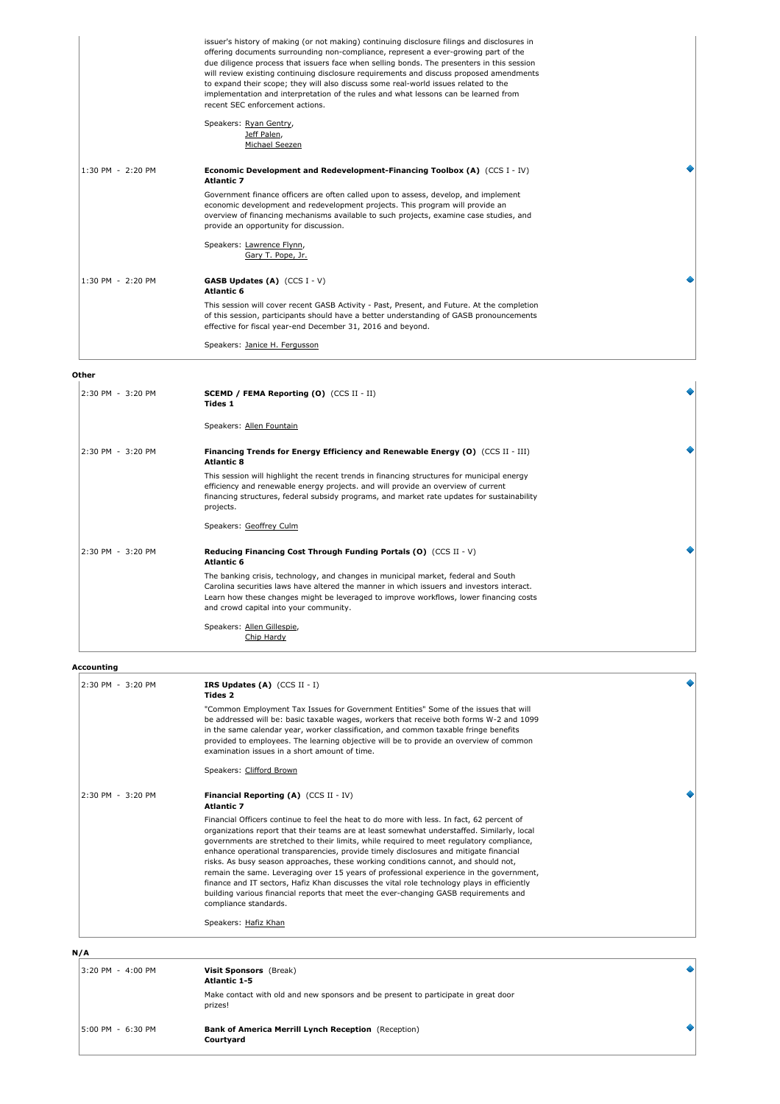|                   | issuer's history of making (or not making) continuing disclosure filings and disclosures in<br>offering documents surrounding non-compliance, represent a ever-growing part of the<br>due diligence process that issuers face when selling bonds. The presenters in this session<br>will review existing continuing disclosure requirements and discuss proposed amendments<br>to expand their scope; they will also discuss some real-world issues related to the<br>implementation and interpretation of the rules and what lessons can be learned from<br>recent SEC enforcement actions. |
|-------------------|----------------------------------------------------------------------------------------------------------------------------------------------------------------------------------------------------------------------------------------------------------------------------------------------------------------------------------------------------------------------------------------------------------------------------------------------------------------------------------------------------------------------------------------------------------------------------------------------|
|                   | Speakers: Ryan Gentry,<br>Jeff Palen,<br>Michael Seezen                                                                                                                                                                                                                                                                                                                                                                                                                                                                                                                                      |
| 1:30 PM - 2:20 PM | Economic Development and Redevelopment-Financing Toolbox $(A)$ (CCS I - IV)<br><b>Atlantic 7</b>                                                                                                                                                                                                                                                                                                                                                                                                                                                                                             |
|                   | Government finance officers are often called upon to assess, develop, and implement<br>economic development and redevelopment projects. This program will provide an<br>overview of financing mechanisms available to such projects, examine case studies, and<br>provide an opportunity for discussion.                                                                                                                                                                                                                                                                                     |
|                   | Speakers: Lawrence Flynn,<br>Gary T. Pope, Jr.                                                                                                                                                                                                                                                                                                                                                                                                                                                                                                                                               |
| 1:30 PM - 2:20 PM | <b>GASB Updates (A)</b> $(CCS I - V)$<br><b>Atlantic 6</b>                                                                                                                                                                                                                                                                                                                                                                                                                                                                                                                                   |
|                   | This session will cover recent GASB Activity - Past, Present, and Future. At the completion<br>of this session, participants should have a better understanding of GASB pronouncements<br>effective for fiscal year-end December 31, 2016 and beyond.                                                                                                                                                                                                                                                                                                                                        |
|                   | Speakers: Janice H. Fergusson                                                                                                                                                                                                                                                                                                                                                                                                                                                                                                                                                                |

٠

۰

#### **Other**

| 2:30 PM - 3:20 PM<br><b>SCEMD / FEMA Reporting (0)</b> (CCS II - II)<br><b>Tides 1</b><br>Speakers: Allen Fountain<br>2:30 PM - 3:20 PM<br>Financing Trends for Energy Efficiency and Renewable Energy (O) (CCS II - III)<br><b>Atlantic 8</b><br>This session will highlight the recent trends in financing structures for municipal energy<br>efficiency and renewable energy projects, and will provide an overview of current<br>financing structures, federal subsidy programs, and market rate updates for sustainability<br>projects.<br>Speakers: Geoffrey Culm<br>2:30 PM - 3:20 PM<br>Reducing Financing Cost Through Funding Portals (O) (CCS II - V)<br><b>Atlantic 6</b><br>The banking crisis, technology, and changes in municipal market, federal and South<br>Carolina securities laws have altered the manner in which issuers and investors interact.<br>Learn how these changes might be leveraged to improve workflows, lower financing costs<br>and crowd capital into your community.<br>Speakers: Allen Gillespie,<br>Chip Hardy |  |  |
|----------------------------------------------------------------------------------------------------------------------------------------------------------------------------------------------------------------------------------------------------------------------------------------------------------------------------------------------------------------------------------------------------------------------------------------------------------------------------------------------------------------------------------------------------------------------------------------------------------------------------------------------------------------------------------------------------------------------------------------------------------------------------------------------------------------------------------------------------------------------------------------------------------------------------------------------------------------------------------------------------------------------------------------------------------|--|--|
|                                                                                                                                                                                                                                                                                                                                                                                                                                                                                                                                                                                                                                                                                                                                                                                                                                                                                                                                                                                                                                                          |  |  |
|                                                                                                                                                                                                                                                                                                                                                                                                                                                                                                                                                                                                                                                                                                                                                                                                                                                                                                                                                                                                                                                          |  |  |
|                                                                                                                                                                                                                                                                                                                                                                                                                                                                                                                                                                                                                                                                                                                                                                                                                                                                                                                                                                                                                                                          |  |  |
|                                                                                                                                                                                                                                                                                                                                                                                                                                                                                                                                                                                                                                                                                                                                                                                                                                                                                                                                                                                                                                                          |  |  |
|                                                                                                                                                                                                                                                                                                                                                                                                                                                                                                                                                                                                                                                                                                                                                                                                                                                                                                                                                                                                                                                          |  |  |
|                                                                                                                                                                                                                                                                                                                                                                                                                                                                                                                                                                                                                                                                                                                                                                                                                                                                                                                                                                                                                                                          |  |  |
|                                                                                                                                                                                                                                                                                                                                                                                                                                                                                                                                                                                                                                                                                                                                                                                                                                                                                                                                                                                                                                                          |  |  |
|                                                                                                                                                                                                                                                                                                                                                                                                                                                                                                                                                                                                                                                                                                                                                                                                                                                                                                                                                                                                                                                          |  |  |

# **Accounting**

| 2:30 PM - 3:20 PM | IRS Updates $(A)$ (CCS II - I)<br><b>Tides 2</b>                                                                                                                                                                                                                                                                                                                                                                                                                                                                                                                                                                                                                                                                                                                              |  |
|-------------------|-------------------------------------------------------------------------------------------------------------------------------------------------------------------------------------------------------------------------------------------------------------------------------------------------------------------------------------------------------------------------------------------------------------------------------------------------------------------------------------------------------------------------------------------------------------------------------------------------------------------------------------------------------------------------------------------------------------------------------------------------------------------------------|--|
|                   | "Common Employment Tax Issues for Government Entities" Some of the issues that will<br>be addressed will be: basic taxable wages, workers that receive both forms W-2 and 1099<br>in the same calendar year, worker classification, and common taxable fringe benefits<br>provided to employees. The learning objective will be to provide an overview of common<br>examination issues in a short amount of time.                                                                                                                                                                                                                                                                                                                                                             |  |
|                   | Speakers: Clifford Brown                                                                                                                                                                                                                                                                                                                                                                                                                                                                                                                                                                                                                                                                                                                                                      |  |
| 2:30 PM - 3:20 PM | <b>Financial Reporting (A)</b> (CCS II - IV)<br><b>Atlantic 7</b>                                                                                                                                                                                                                                                                                                                                                                                                                                                                                                                                                                                                                                                                                                             |  |
|                   | Financial Officers continue to feel the heat to do more with less. In fact, 62 percent of<br>organizations report that their teams are at least somewhat understaffed. Similarly, local<br>governments are stretched to their limits, while required to meet requlatory compliance,<br>enhance operational transparencies, provide timely disclosures and mitigate financial<br>risks. As busy season approaches, these working conditions cannot, and should not,<br>remain the same. Leveraging over 15 years of professional experience in the government,<br>finance and IT sectors, Hafiz Khan discusses the vital role technology plays in efficiently<br>building various financial reports that meet the ever-changing GASB requirements and<br>compliance standards. |  |
|                   | Speakers: Hafiz Khan                                                                                                                                                                                                                                                                                                                                                                                                                                                                                                                                                                                                                                                                                                                                                          |  |

**N/A**

| 3:20 PM - 4:00 PM | Visit Sponsors (Break)<br><b>Atlantic 1-5</b>                                                 |  |
|-------------------|-----------------------------------------------------------------------------------------------|--|
|                   | Make contact with old and new sponsors and be present to participate in great door<br>prizes! |  |
| 5:00 PM - 6:30 PM | <b>Bank of America Merrill Lynch Reception</b> (Reception)<br>Courtvard                       |  |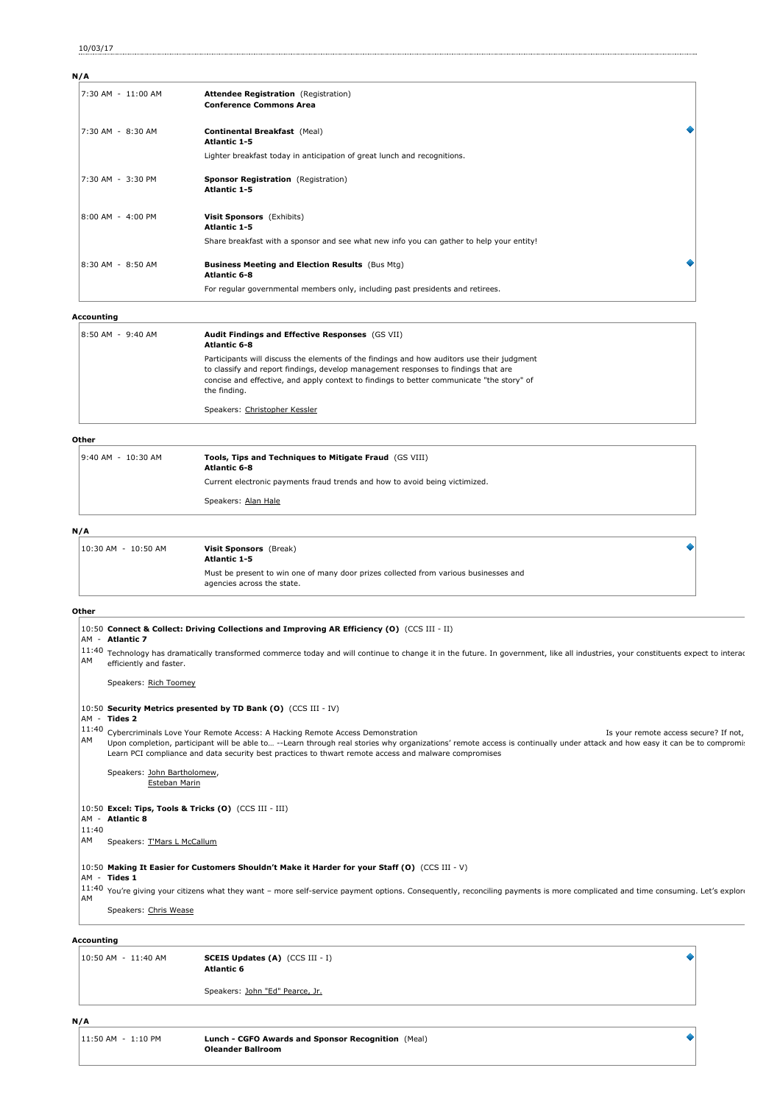10/03/17

| N/A                |                                                                                          |  |
|--------------------|------------------------------------------------------------------------------------------|--|
| 7:30 AM - 11:00 AM | <b>Attendee Registration</b> (Registration)<br><b>Conference Commons Area</b>            |  |
| 7:30 AM - 8:30 AM  | <b>Continental Breakfast (Meal)</b><br><b>Atlantic 1-5</b>                               |  |
|                    | Lighter breakfast today in anticipation of great lunch and recognitions.                 |  |
| 7:30 AM - 3:30 PM  | Sponsor Registration (Registration)<br><b>Atlantic 1-5</b>                               |  |
| 8:00 AM - 4:00 PM  | Visit Sponsors (Exhibits)<br><b>Atlantic 1-5</b>                                         |  |
|                    | Share breakfast with a sponsor and see what new info you can gather to help your entity! |  |
| 8:30 AM - 8:50 AM  | <b>Business Meeting and Election Results</b> (Bus Mtg)<br><b>Atlantic 6-8</b>            |  |
|                    | For regular governmental members only, including past presidents and retirees.           |  |

#### **Accounting**

| .                 |                                                                                                                                                                                                                                                                                               |
|-------------------|-----------------------------------------------------------------------------------------------------------------------------------------------------------------------------------------------------------------------------------------------------------------------------------------------|
| 8:50 AM - 9:40 AM | Audit Findings and Effective Responses (GS VII)<br><b>Atlantic 6-8</b>                                                                                                                                                                                                                        |
|                   | Participants will discuss the elements of the findings and how auditors use their judgment<br>to classify and report findings, develop management responses to findings that are<br>concise and effective, and apply context to findings to better communicate "the story" of<br>the finding. |
|                   | Speakers: Christopher Kessler                                                                                                                                                                                                                                                                 |

#### **Other**

| 9:40 AM - 10:30 AM | Tools, Tips and Techniques to Mitigate Fraud (GS VIII)<br><b>Atlantic 6-8</b> |
|--------------------|-------------------------------------------------------------------------------|
|                    | Current electronic payments fraud trends and how to avoid being victimized.   |
|                    | Speakers: Alan Hale                                                           |
| N/A                |                                                                               |

| 10:30 AM - 10:50 AM | Visit Sponsors (Break)<br><b>Atlantic 1-5</b>                                                                      |  |
|---------------------|--------------------------------------------------------------------------------------------------------------------|--|
|                     | Must be present to win one of many door prizes collected from various businesses and<br>agencies across the state. |  |

# **Other**

|             | 10:50 Connect & Collect: Driving Collections and Improving AR Efficiency (O) (CCS III - II)<br>AM - Atlantic 7                                                                                                                                                                                                                                                                                                |
|-------------|---------------------------------------------------------------------------------------------------------------------------------------------------------------------------------------------------------------------------------------------------------------------------------------------------------------------------------------------------------------------------------------------------------------|
| 11:40<br>AM | Technology has dramatically transformed commerce today and will continue to change it in the future. In government, like all industries, your constituents expect to interac<br>efficiently and faster.                                                                                                                                                                                                       |
|             | Speakers: Rich Toomey                                                                                                                                                                                                                                                                                                                                                                                         |
|             | 10:50 Security Metrics presented by TD Bank (O) (CCS III - IV)<br>AM - Tides 2                                                                                                                                                                                                                                                                                                                                |
| 11:40<br>AM | Cybercriminals Love Your Remote Access: A Hacking Remote Access Demonstration<br>Is your remote access secure? If not,<br>Upon completion, participant will be able to --Learn through real stories why organizations' remote access is continually under attack and how easy it can be to compromi:<br>Learn PCI compliance and data security best practices to thwart remote access and malware compromises |
|             | Speakers: John Bartholomew,<br>Esteban Marin                                                                                                                                                                                                                                                                                                                                                                  |
|             | 10:50 Excel: Tips, Tools & Tricks (O) (CCS III - III)<br>AM - Atlantic 8                                                                                                                                                                                                                                                                                                                                      |
| 11:40<br>AM | Speakers: T'Mars L McCallum                                                                                                                                                                                                                                                                                                                                                                                   |
|             | 10:50 Making It Easier for Customers Shouldn't Make it Harder for your Staff (O) (CCS III - V)<br>AM - Tides 1                                                                                                                                                                                                                                                                                                |
| AM          | 11:40 You're giving your citizens what they want - more self-service payment options. Consequently, reconciling payments is more complicated and time consuming. Let's explore                                                                                                                                                                                                                                |
|             | Speakers: Chris Wease                                                                                                                                                                                                                                                                                                                                                                                         |
|             | Accountina                                                                                                                                                                                                                                                                                                                                                                                                    |

# $\ddot{\bullet}$ 10:50 AM 11:40 AM **SCEIS Updates (A)** (CCS III I) **Atlantic 6** Speakers: John "Ed" Pearce, Jr.

۰

# **N/A**

| 11:50 AM - 1:10 PM | Lunch - CGFO Awards and Sponsor Recognition (Meal) |
|--------------------|----------------------------------------------------|
|                    | <b>Oleander Ballroom</b>                           |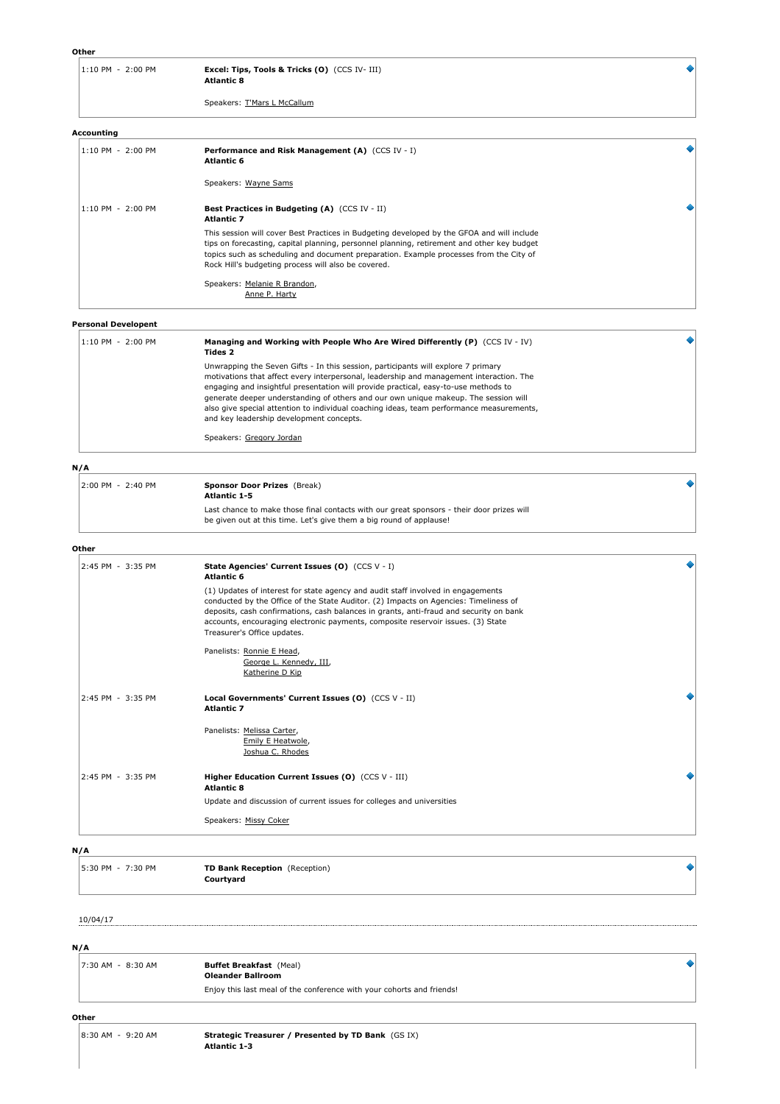Speakers: T'Mars L McCallum

#### **Accounting**

| 1:10 PM - 2:00 PM | Performance and Risk Management (A) (CCS IV - I)<br><b>Atlantic 6</b>                                                                                                                                                                                                                                                                     |  |
|-------------------|-------------------------------------------------------------------------------------------------------------------------------------------------------------------------------------------------------------------------------------------------------------------------------------------------------------------------------------------|--|
|                   | Speakers: Wayne Sams                                                                                                                                                                                                                                                                                                                      |  |
| 1:10 PM - 2:00 PM | <b>Best Practices in Budgeting (A)</b> (CCS IV - II)<br><b>Atlantic 7</b>                                                                                                                                                                                                                                                                 |  |
|                   | This session will cover Best Practices in Budgeting developed by the GFOA and will include<br>tips on forecasting, capital planning, personnel planning, retirement and other key budget<br>topics such as scheduling and document preparation. Example processes from the City of<br>Rock Hill's budgeting process will also be covered. |  |
|                   | Speakers: Melanie R Brandon,<br>Anne P. Harty                                                                                                                                                                                                                                                                                             |  |

 $\ddot{\bullet}$ 

#### **Personal Developent**

| 1:10 PM - 2:00 PM | Managing and Working with People Who Are Wired Differently (P) (CCS IV - IV)<br>Tides 2                                                                                                                                                                                                                                                                                                                                                                                                            |  |
|-------------------|----------------------------------------------------------------------------------------------------------------------------------------------------------------------------------------------------------------------------------------------------------------------------------------------------------------------------------------------------------------------------------------------------------------------------------------------------------------------------------------------------|--|
|                   | Unwrapping the Seven Gifts - In this session, participants will explore 7 primary<br>motivations that affect every interpersonal, leadership and management interaction. The<br>engaging and insightful presentation will provide practical, easy-to-use methods to<br>generate deeper understanding of others and our own unique makeup. The session will<br>also give special attention to individual coaching ideas, team performance measurements,<br>and key leadership development concepts. |  |
|                   | Speakers: Gregory Jordan                                                                                                                                                                                                                                                                                                                                                                                                                                                                           |  |

#### **N/A**

| 2:00 PM - 2:40 PM | <b>Sponsor Door Prizes</b> (Break)<br><b>Atlantic 1-5</b>                                                                                                        |  |
|-------------------|------------------------------------------------------------------------------------------------------------------------------------------------------------------|--|
|                   | Last chance to make those final contacts with our great sponsors - their door prizes will<br>be given out at this time. Let's give them a big round of applause! |  |

#### **Other**

| Other             |                                                                                                                                                                                                                                                                                                                                                                                       |  |
|-------------------|---------------------------------------------------------------------------------------------------------------------------------------------------------------------------------------------------------------------------------------------------------------------------------------------------------------------------------------------------------------------------------------|--|
| 2:45 PM - 3:35 PM | State Agencies' Current Issues (0) (CCS V - I)<br><b>Atlantic 6</b>                                                                                                                                                                                                                                                                                                                   |  |
|                   | (1) Updates of interest for state agency and audit staff involved in engagements<br>conducted by the Office of the State Auditor. (2) Impacts on Agencies: Timeliness of<br>deposits, cash confirmations, cash balances in grants, anti-fraud and security on bank<br>accounts, encouraging electronic payments, composite reservoir issues. (3) State<br>Treasurer's Office updates. |  |
|                   | Panelists: Ronnie E Head,<br>George L. Kennedy, III,<br>Katherine D Kip                                                                                                                                                                                                                                                                                                               |  |
| 2:45 PM - 3:35 PM | Local Governments' Current Issues (O) (CCS V - II)<br><b>Atlantic 7</b>                                                                                                                                                                                                                                                                                                               |  |
|                   | Panelists: Melissa Carter,<br>Emily E Heatwole,<br>Joshua C. Rhodes                                                                                                                                                                                                                                                                                                                   |  |
| 2:45 PM - 3:35 PM | Higher Education Current Issues (O) (CCS V - III)<br><b>Atlantic 8</b>                                                                                                                                                                                                                                                                                                                |  |
|                   | Update and discussion of current issues for colleges and universities                                                                                                                                                                                                                                                                                                                 |  |
|                   | Speakers: Missy Coker                                                                                                                                                                                                                                                                                                                                                                 |  |
|                   |                                                                                                                                                                                                                                                                                                                                                                                       |  |

#### **N/A**

| 5:30 PM - 7:30 PM | TD Bank Reception (Reception) |
|-------------------|-------------------------------|
|                   | Courtyard                     |
|                   |                               |

10/04/17

**N/A**

| 7:30 AM - 8:30 AM | <b>Buffet Breakfast</b> (Meal)<br><b>Oleander Ballroom</b>            |  |
|-------------------|-----------------------------------------------------------------------|--|
|                   | Enjoy this last meal of the conference with your cohorts and friends! |  |

# **Other**